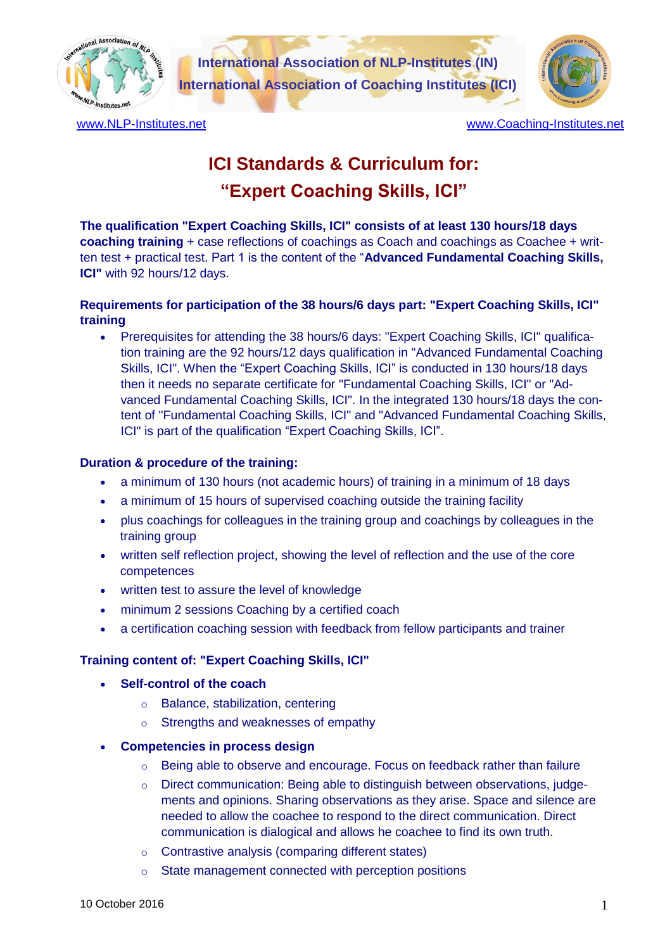

**International Association of NLP-Institutes (IN) International Association of Coaching Institutes (ICI)**



[www.NLP-Institutes.net](http://www.nlp-institutes.net/) [www.Coaching-Institutes.net](http://www.coaching-institutes.net/)

# **ICI Standards & Curriculum for: "Expert Coaching Skills, ICI"**

**The qualification "Expert Coaching Skills, ICI" consists of at least 130 hours/18 days coaching training** + case reflections of coachings as Coach and coachings as Coachee + written test + practical test. Part 1 is the content of the "**Advanced Fundamental Coaching Skills, ICI"** with 92 hours/12 days.

# **Requirements for participation of the 38 hours/6 days part: "Expert Coaching Skills, ICI" training**

 Prerequisites for attending the 38 hours/6 days: "Expert Coaching Skills, ICI" qualification training are the 92 hours/12 days qualification in "Advanced Fundamental Coaching Skills, ICI". When the "Expert Coaching Skills, ICI" is conducted in 130 hours/18 days then it needs no separate certificate for "Fundamental Coaching Skills, ICI" or "Advanced Fundamental Coaching Skills, ICI". In the integrated 130 hours/18 days the content of "Fundamental Coaching Skills, ICI" and "Advanced Fundamental Coaching Skills, ICI" is part of the qualification "Expert Coaching Skills, ICI".

# **Duration & procedure of the training:**

- a minimum of 130 hours (not academic hours) of training in a minimum of 18 days
- a minimum of 15 hours of supervised coaching outside the training facility
- plus coachings for colleagues in the training group and coachings by colleagues in the training group
- written self reflection project, showing the level of reflection and the use of the core competences
- written test to assure the level of knowledge
- minimum 2 sessions Coaching by a certified coach
- a certification coaching session with feedback from fellow participants and trainer

# **Training content of: "Expert Coaching Skills, ICI"**

- **Self-control of the coach**
	- o Balance, stabilization, centering
	- o Strengths and weaknesses of empathy
- **Competencies in process design**
	- Being able to observe and encourage. Focus on feedback rather than failure
	- $\circ$  Direct communication: Being able to distinguish between observations, judgements and opinions. Sharing observations as they arise. Space and silence are needed to allow the coachee to respond to the direct communication. Direct communication is dialogical and allows he coachee to find its own truth.
	- o Contrastive analysis (comparing different states)
	- o State management connected with perception positions